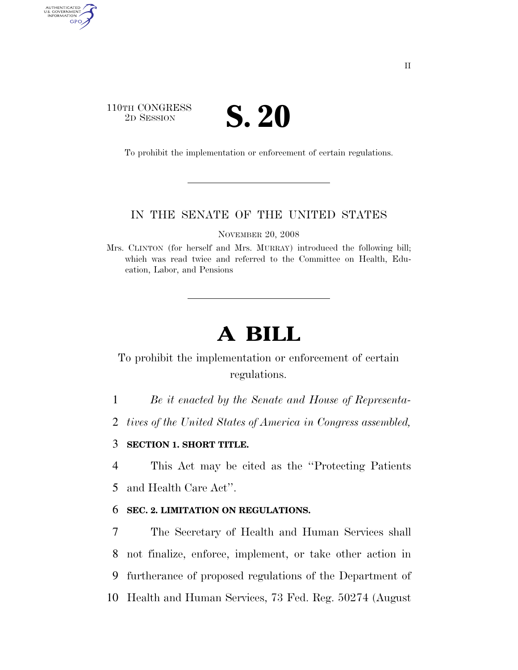## 110TH CONGRESS **SESSION S. 20**

AUTHENTICATED<br>U.S. GOVERNMENT<br>INFORMATION GPO

To prohibit the implementation or enforcement of certain regulations.

### IN THE SENATE OF THE UNITED STATES

NOVEMBER 20, 2008

Mrs. CLINTON (for herself and Mrs. MURRAY) introduced the following bill; which was read twice and referred to the Committee on Health, Education, Labor, and Pensions

# **A BILL**

## To prohibit the implementation or enforcement of certain regulations.

1 *Be it enacted by the Senate and House of Representa-*

2 *tives of the United States of America in Congress assembled,* 

#### 3 **SECTION 1. SHORT TITLE.**

4 This Act may be cited as the ''Protecting Patients 5 and Health Care Act''.

#### 6 **SEC. 2. LIMITATION ON REGULATIONS.**

 The Secretary of Health and Human Services shall not finalize, enforce, implement, or take other action in furtherance of proposed regulations of the Department of Health and Human Services, 73 Fed. Reg. 50274 (August